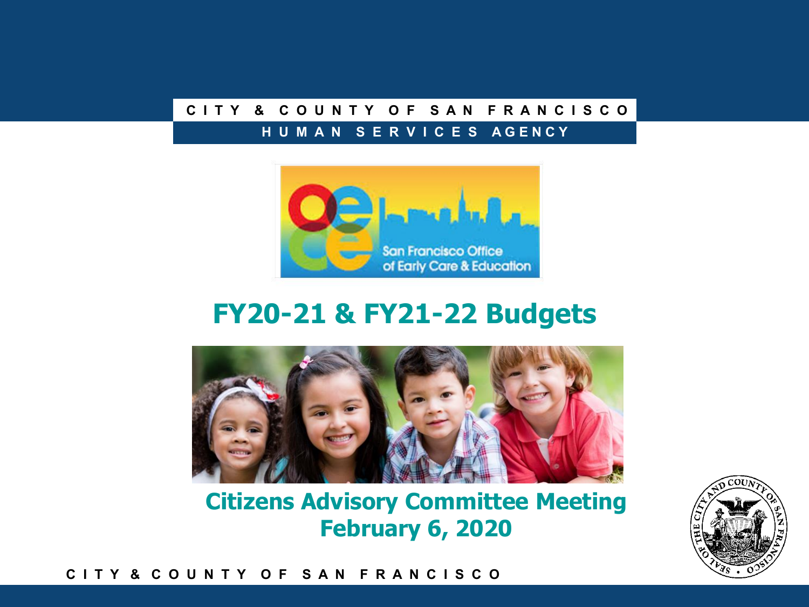### **C I T Y & C O U N T Y O F S A N F R A N C I S C O**

#### **H U M A N S E R V I C E S A G E N C Y**



### **FY20-21 & FY21-22 Budgets**



**Citizens Advisory Committee Meeting February 6, 2020**



#### **C I T Y & C O U N T Y O F S A N F R A N C I S C O**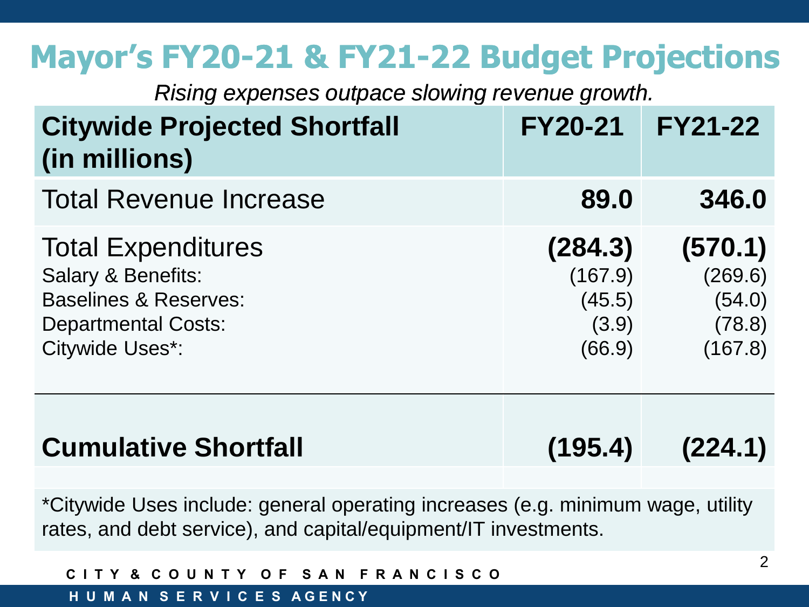## **Mayor's FY20-21 & FY21-22 Budget Projections**

*Rising expenses outpace slowing revenue growth.*

| <b>Citywide Projected Shortfall</b><br>(in millions)                                                                                                   | <b>FY20-21</b>                                  | <b>FY21-22</b>                                    |
|--------------------------------------------------------------------------------------------------------------------------------------------------------|-------------------------------------------------|---------------------------------------------------|
| <b>Total Revenue Increase</b>                                                                                                                          | 89.0                                            | 346.0                                             |
| <b>Total Expenditures</b><br><b>Salary &amp; Benefits:</b><br><b>Baselines &amp; Reserves:</b><br><b>Departmental Costs:</b><br><b>Citywide Uses*:</b> | (284.3)<br>(167.9)<br>(45.5)<br>(3.9)<br>(66.9) | (570.1)<br>(269.6)<br>(54.0)<br>(78.8)<br>(167.8) |
| <b>Cumulative Shortfall</b>                                                                                                                            | (195.4)                                         | (224.1)                                           |

\*Citywide Uses include: general operating increases (e.g. minimum wage, utility rates, and debt service), and capital/equipment/IT investments.

| CITY & COUNTY OF SAN FRANCISCO        |  |  |
|---------------------------------------|--|--|
| I H U M A N  S E R V I C E S  AGENCY' |  |  |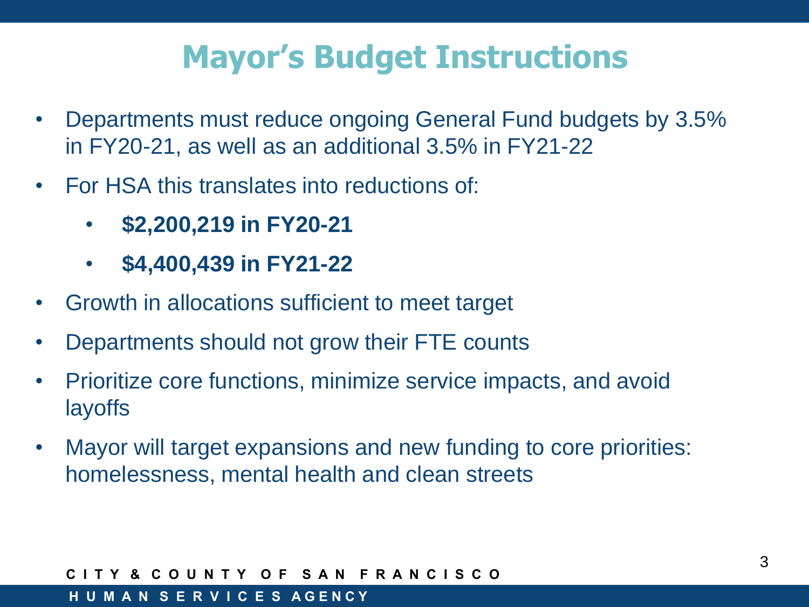## **Mayor's Budget Instructions**

- Departments must reduce ongoing General Fund budgets by 3.5% in FY20-21, as well as an additional 3.5% in FY21-22
- For HSA this translates into reductions of:
	- **\$2,200,219 in FY20-21**
	- **\$4,400,439 in FY21-22**
- Growth in allocations sufficient to meet target
- Departments should not grow their FTE counts
- Prioritize core functions, minimize service impacts, and avoid \$372.5M layoffs
- Mayor will target expansions and new funding to core priorities: homelessness, mental health and clean streets

### **C I T Y & C O U N T Y O F S A N F R A N C I S C O**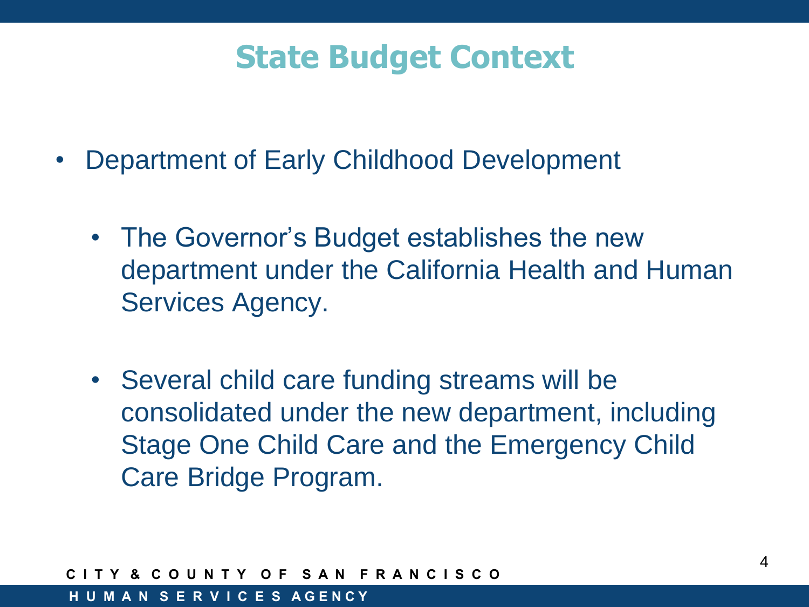## **State Budget Context**

- Department of Early Childhood Development
	- The Governor's Budget establishes the new department under the California Health and Human Services Agency.
	- Several child care funding streams will be  $\lambda$ 'Pul<br>\_ consolidated under the new department, including Stage One Child Care and the Emergency Child Care Bridge Program.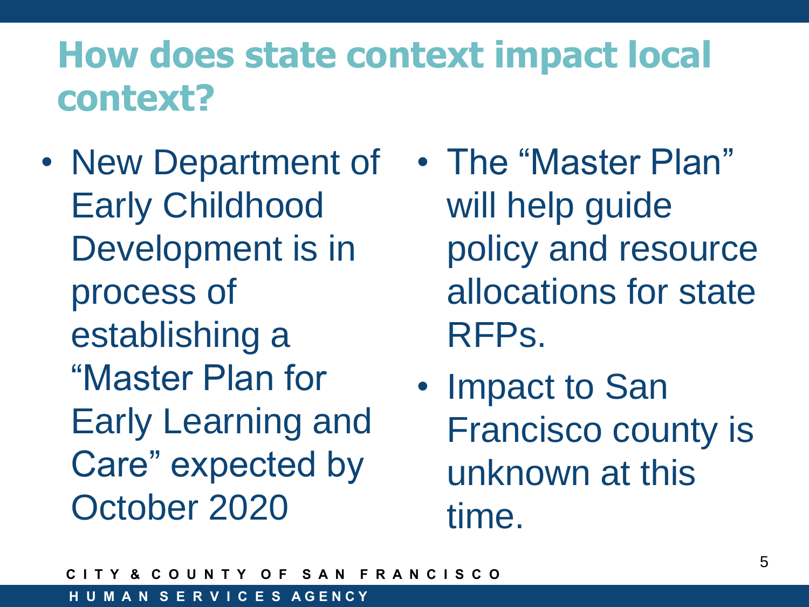## **How does state context impact local context?**

- New Department of Early Childhood Development is in process of establishing a "Master Plan for Early Learning and Care" expected by October 2020
- The "Master Plan" will help guide policy and resource allocations for state RFPs.
- Impact to San Francisco county is unknown at this time.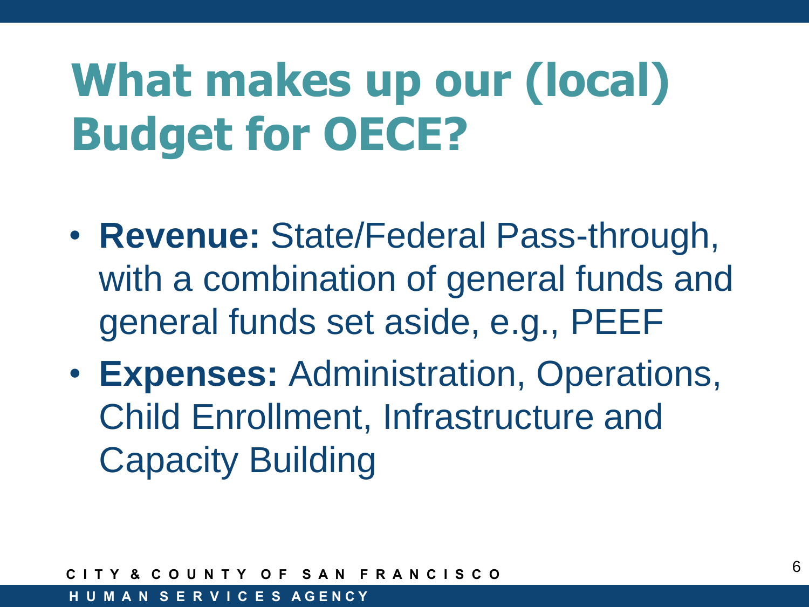# **What makes up our (local) Budget for OECE?**

- **Revenue:** State/Federal Pass-through, with a combination of general funds and general funds set aside, e.g., PEEF
- **Expenses:** Administration, Operations, Child Enrollment, Infrastructure and Capacity Building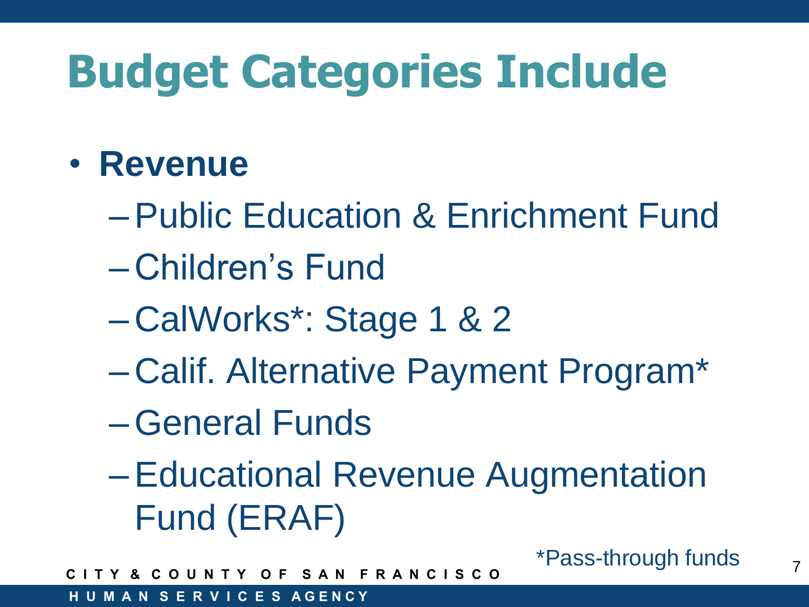## • **Revenue**

- –Public Education & Enrichment Fund
- Children's Fund
- CalWorks\*: Stage 1 & 2
- Calif. Alternative Payment Program\*
- –General Funds
- –Educational Revenue Augmentation Fund (ERAF)

**C I T Y & C O U N T Y O F S A N F R A N C I S C O**

**H U M A N S E R V I C E S A G E N C Y**

\*Pass-through funds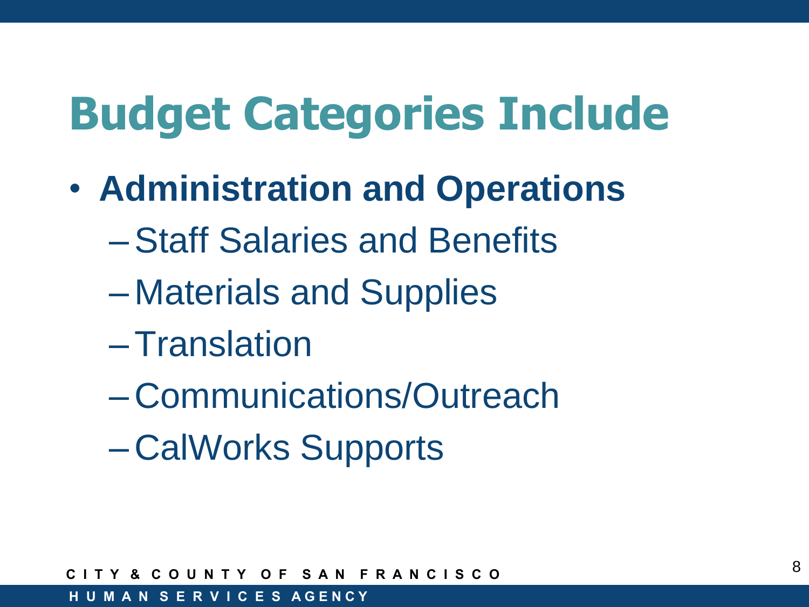- **Administration and Operations**
	- –Staff Salaries and Benefits
	- Materials and Supplies
	- –Translation
	- Communications/Outreach
	- CalWorks Supports

**C I T Y & C O U N T Y O F S A N F R A N C I S C O**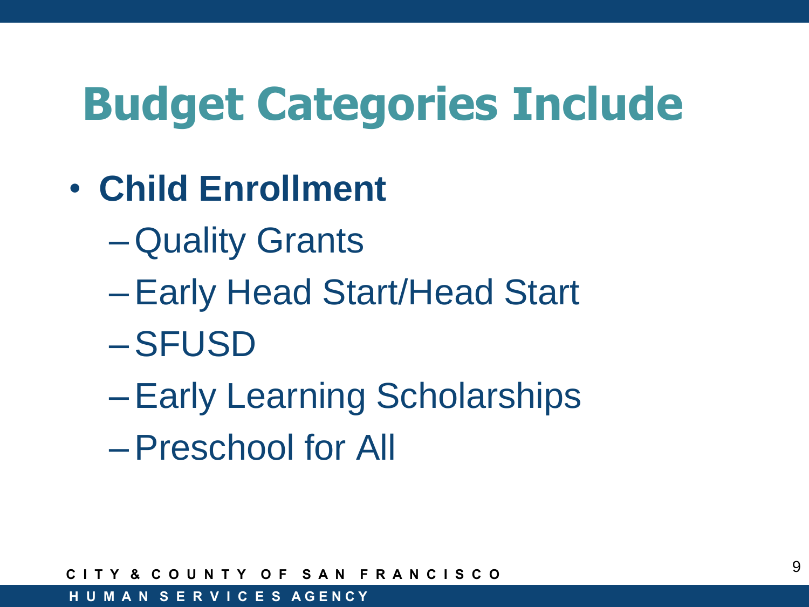- **Child Enrollment**
	- –Quality Grants
	- –Early Head Start/Head Start
	- –SFUSD
	- –Early Learning Scholarships
	- –Preschool for All

**C I T Y & C O U N T Y O F S A N F R A N C I S C O**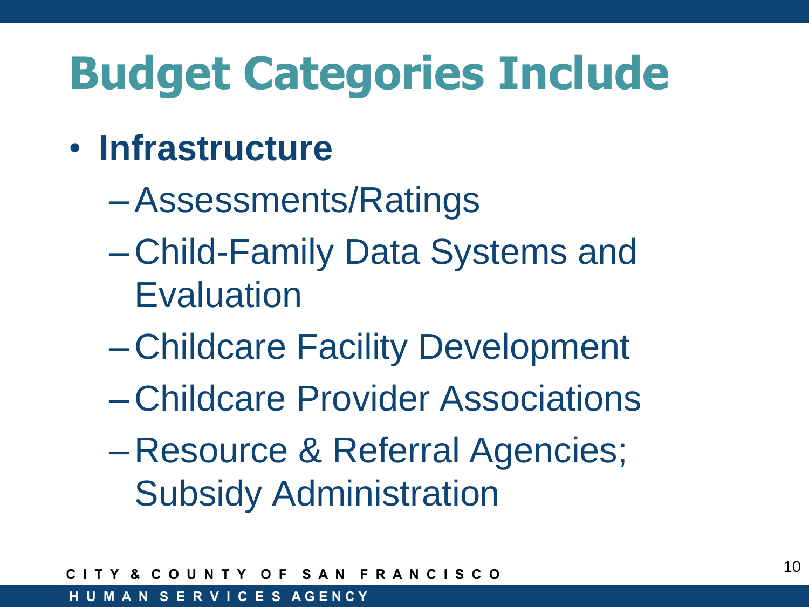- **Infrastructure**
	- –Assessments/Ratings
	- Child-Family Data Systems and **Evaluation**
	- Childcare Facility Development
	- Childcare Provider Associations
	- Resource & Referral Agencies; Subsidy Administration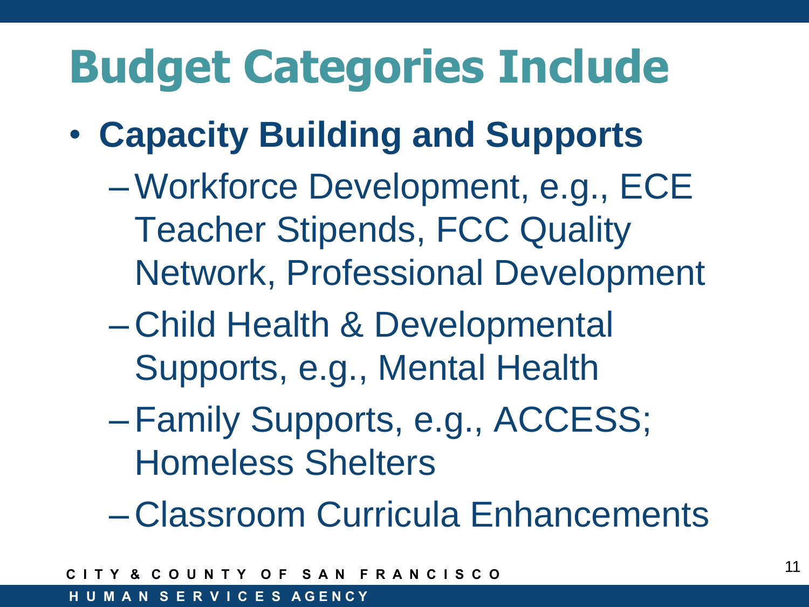- **Capacity Building and Supports**
	- –Workforce Development, e.g., ECE Teacher Stipends, FCC Quality Network, Professional Development
	- Child Health & Developmental Supports, e.g., Mental Health
	- –Family Supports, e.g., ACCESS; Homeless Shelters
	- Classroom Curricula Enhancements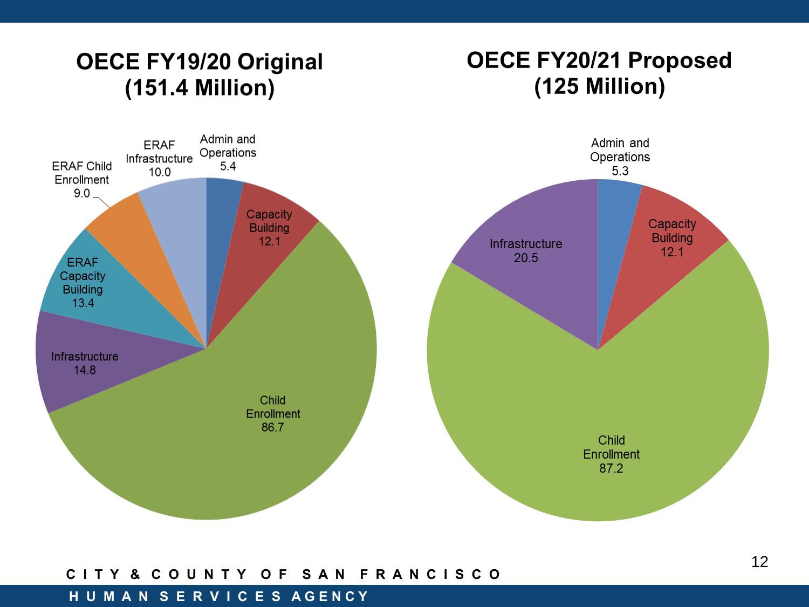### OECE FY19/20 Original (151.4 Million)

### **OECE FY20/21 Proposed** (125 Million)



#### **C I T Y & C O U N T Y O F S A N F R A N C I S C O**

#### **H U M A N S E R V I C E S A G E N C Y**

12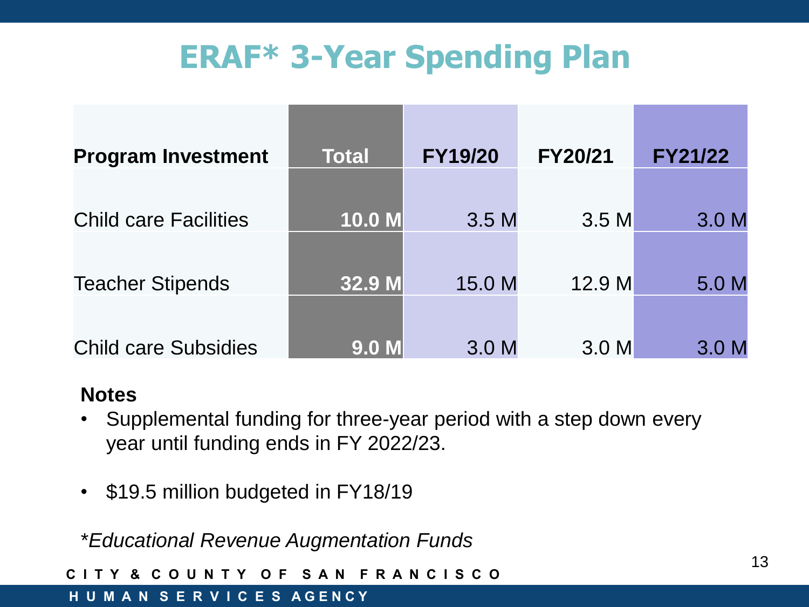## **ERAF\* 3-Year Spending Plan**

| <b>Program Investment</b>    | <b>Total</b> | <b>FY19/20</b>   | <b>FY20/21</b>   | <b>FY21/22</b>   |
|------------------------------|--------------|------------------|------------------|------------------|
|                              |              |                  |                  |                  |
| <b>Child care Facilities</b> | 10.0 M       | 3.5M             | 3.5 M            | 3.0 <sub>M</sub> |
|                              |              |                  |                  |                  |
| <b>Teacher Stipends</b>      | 32.9 M       | 15.0 M           | 12.9 M           | 5.0 M            |
|                              |              |                  |                  |                  |
| <b>Child care Subsidies</b>  | <b>9.0 M</b> | 3.0 <sub>M</sub> | 3.0 <sub>M</sub> | 3.0 <sub>M</sub> |

### **Notes**

- $\frac{3}{2}$ • Supplemental funding for three-year period with a step down every year until funding ends in FY 2022/23.
- \$19.5 million budgeted in FY18/19

\**Educational Revenue Augmentation Funds*

**C I T Y & C O U N T Y O F S A N F R A N C I S C O**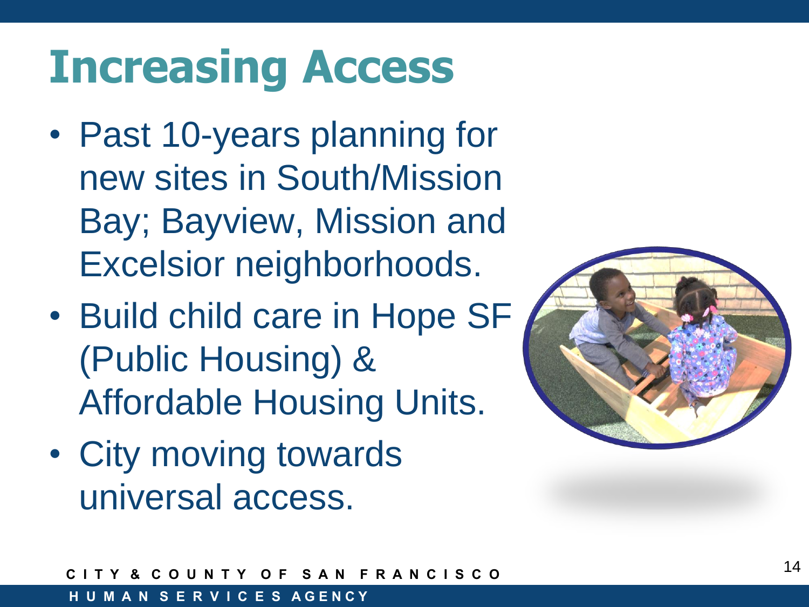# **Increasing Access**

- Past 10-years planning for new sites in South/Mission Bay; Bayview, Mission and Excelsior neighborhoods.
- Build child care in Hope SF (Public Housing) & Affordable Housing Units.
- City moving towards universal access.

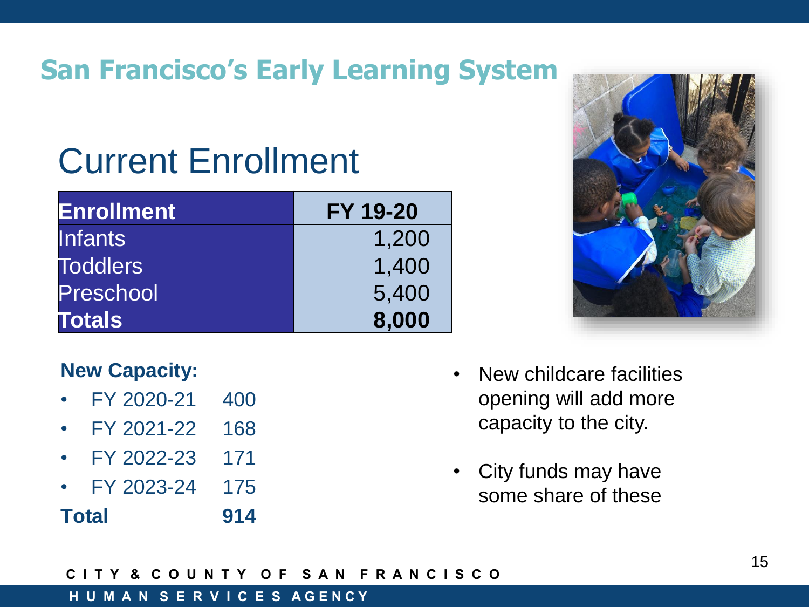## **San Francisco's Early Learning System**

# Current Enrollment

| <b>Enrollment</b> | <b>FY 19-20</b> |
|-------------------|-----------------|
| <b>Infants</b>    | 1,200           |
| <b>Toddlers</b>   | 1,400           |
| Preschool         | 5,400           |
| <b>Totals</b>     | 8,000           |



### **New Capacity:**

- FY 2020-21 400
- FY 2021-22 168
- FY 2022-23 171
- FY 2023-24 175

**Total 914** 

- New childcare facilities opening will add more capacity to the city.
- City funds may have some share of these

**C I T Y & C O U N T Y O F S A N F R A N C I S C O**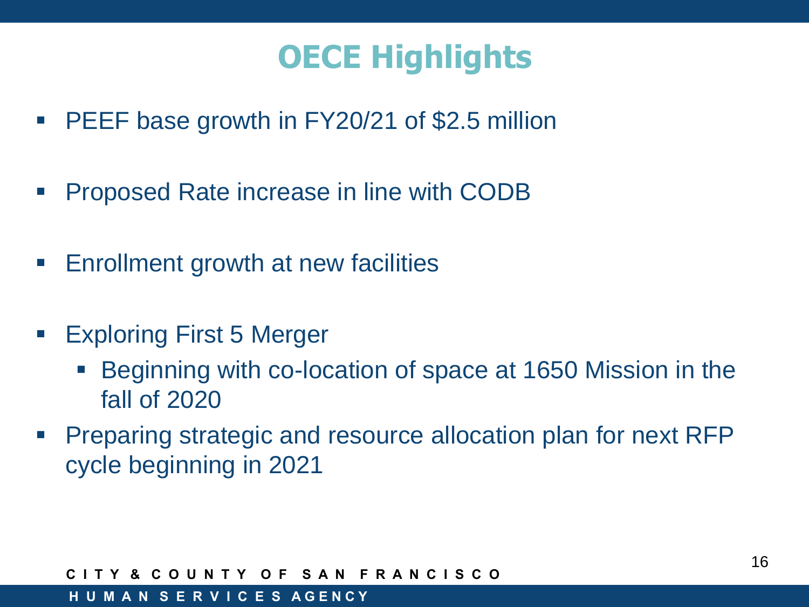## **OECE Highlights**

- **PEEF base growth in FY20/21 of \$2.5 million**
- Proposed Rate increase in line with CODB
- Enrollment growth at new facilities
- Exploring First 5 Merger
	- **Beginning with co-location of space at 1650 Mission in the** fall of 2020
- **Preparing strategic and resource allocation plan for next RFP** cycle beginning in 2021